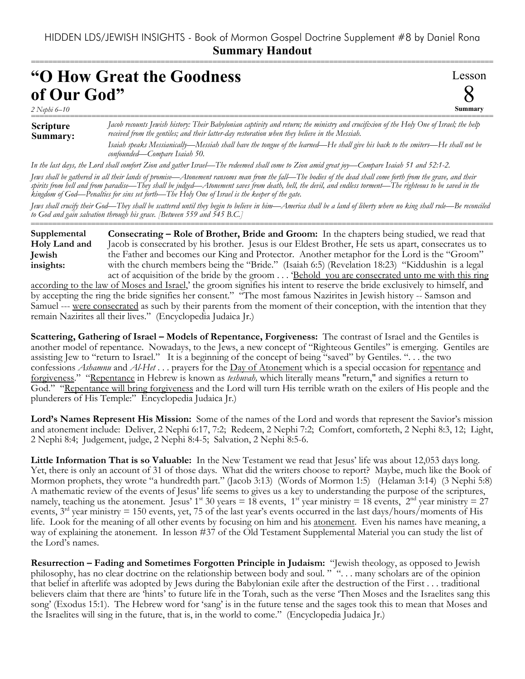===========================================================================================================

## **"O How Great the Goodness of Our God"**

*2 Nephi 6–10*

Lesson δ **Summary**

## **Scripture Summary:** =========================================================================================================== *Jacob recounts Jewish history: Their Babylonian captivity and return; the ministry and crucifixion of the Holy One of Israel; the help received from the gentiles; and their latter-day restoration when they believe in the Messiah. Isaiah speaks Messianically—Messiah shall have the tongue of the learned—He shall give his back to the smiters—He shall not be confounded—Compare Isaiah 50.*

*In the last days, the Lord shall comfort Zion and gather Israel—The redeemed shall come to Zion amid great joy—Compare Isaiah 51 and 52:1-2.*

*Jews shall be gathered in all their lands of promise—Atonement ransoms man from the fall—The bodies of the dead shall come forth from the grave, and their spirits from hell and from paradise—They shall be judged—Atonement saves from death, hell, the devil, and endless torment—The righteous to be saved in the kingdom of God—Penalties for sins set forth—The Holy One of Israel is the keeper of the gate.* 

*Jews shall crucify their God—They shall be scattered until they begin to believe in him—America shall be a land of liberty where no king shall rule—Be reconciled to God and gain salvation through his grace. [Between 559 and 545 B.C.]* ===========================================================================================================

**Consecrating – Role of Brother, Bride and Groom:** In the chapters being studied, we read that Jacob is consecrated by his brother. Jesus is our Eldest Brother, He sets us apart, consecrates us to the Father and becomes our King and Protector. Another metaphor for the Lord is the "Groom" with the church members being the "Bride." (Isaiah 6:5) (Revelation 18:23) "Kiddushin is a legal act of acquisition of the bride by the groom . . . 'Behold you are consecrated unto me with this ring **Supplemental Holy Land and Jewish insights:**

according to the law of Moses and Israel,' the groom signifies his intent to reserve the bride exclusively to himself, and by accepting the ring the bride signifies her consent." "The most famous Nazirites in Jewish history -- Samson and Samuel --- were consecrated as such by their parents from the moment of their conception, with the intention that they remain Nazirites all their lives." (Encyclopedia Judaica Jr.)

**Scattering, Gathering of Israel – Models of Repentance, Forgiveness:** The contrast of Israel and the Gentiles is another model of repentance. Nowadays, to the Jews, a new concept of "Righteous Gentiles" is emerging. Gentiles are assisting Jew to "return to Israel." It is a beginning of the concept of being "saved" by Gentiles. ". . . the two confessions *Ashamnu* and *Al-Het* . . . prayers for the Day of Atonement which is a special occasion for repentance and forgiveness." "Repentance in Hebrew is known as *teshuvah,* which literally means "return," and signifies a return to God." "Repentance will bring forgiveness and the Lord will turn His terrible wrath on the exilers of His people and the plunderers of His Temple:" Encyclopedia Judaica Jr.)

**Lord's Names Represent His Mission:** Some of the names of the Lord and words that represent the Savior's mission and atonement include: Deliver, 2 Nephi 6:17, 7:2; Redeem, 2 Nephi 7:2; Comfort, comforteth, 2 Nephi 8:3, 12; Light, 2 Nephi 8:4; Judgement, judge, 2 Nephi 8:4-5; Salvation, 2 Nephi 8:5-6.

**Little Information That is so Valuable:** In the New Testament we read that Jesus' life was about 12,053 days long. Yet, there is only an account of 31 of those days. What did the writers choose to report? Maybe, much like the Book of Mormon prophets, they wrote "a hundredth part." (Jacob 3:13) (Words of Mormon 1:5) (Helaman 3:14) (3 Nephi 5:8) A mathematic review of the events of Jesus' life seems to gives us a key to understanding the purpose of the scriptures, namely, teaching us the atonement. Jesus' 1<sup>st</sup> 30 years = 18 events, 1<sup>st</sup> year ministry = 18 events, 2<sup>nd</sup> year ministry = 27 events,  $3<sup>rd</sup>$  year ministry  $= 150$  events, yet, 75 of the last year's events occurred in the last days/hours/moments of His life. Look for the meaning of all other events by focusing on him and his atonement. Even his names have meaning, a way of explaining the atonement. In lesson #37 of the Old Testament Supplemental Material you can study the list of the Lord's names.

**Resurrection – Fading and Sometimes Forgotten Principle in Judaism:** "Jewish theology, as opposed to Jewish philosophy, has no clear doctrine on the relationship between body and soul. " ". . . many scholars are of the opinion that belief in afterlife was adopted by Jews during the Babylonian exile after the destruction of the First . . . traditional believers claim that there are 'hints' to future life in the Torah, such as the verse 'Then Moses and the Israelites sang this song' (Exodus 15:1). The Hebrew word for 'sang' is in the future tense and the sages took this to mean that Moses and the Israelites will sing in the future, that is, in the world to come." (Encyclopedia Judaica Jr.)